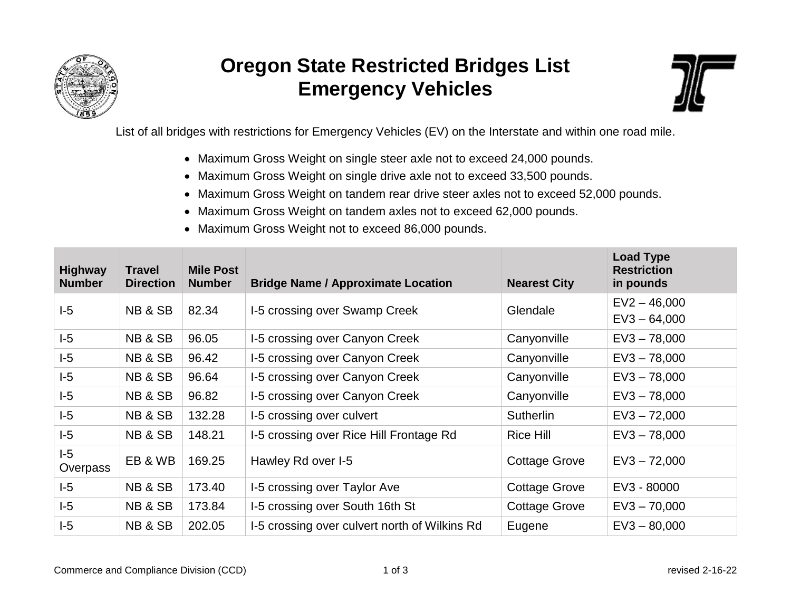

## **Oregon State Restricted Bridges List Emergency Vehicles**



List of all bridges with restrictions for Emergency Vehicles (EV) on the Interstate and within one road mile.

- Maximum Gross Weight on single steer axle not to exceed 24,000 pounds.
- Maximum Gross Weight on single drive axle not to exceed 33,500 pounds.
- Maximum Gross Weight on tandem rear drive steer axles not to exceed 52,000 pounds.
- Maximum Gross Weight on tandem axles not to exceed 62,000 pounds.
- Maximum Gross Weight not to exceed 86,000 pounds.

| <b>Highway</b><br><b>Number</b> | <b>Travel</b><br><b>Direction</b> | <b>Mile Post</b><br><b>Number</b> | <b>Bridge Name / Approximate Location</b>     | <b>Nearest City</b>  | <b>Load Type</b><br><b>Restriction</b><br>in pounds |
|---------------------------------|-----------------------------------|-----------------------------------|-----------------------------------------------|----------------------|-----------------------------------------------------|
| $I-5$                           | NB & SB                           | 82.34                             | I-5 crossing over Swamp Creek                 | Glendale             | $EV2 - 46,000$<br>$EV3 - 64,000$                    |
| $-5$                            | NB & SB                           | 96.05                             | I-5 crossing over Canyon Creek                | Canyonville          | $EV3 - 78,000$                                      |
| $-5$                            | NB & SB                           | 96.42                             | I-5 crossing over Canyon Creek                | Canyonville          | $EV3 - 78,000$                                      |
| $-5$                            | NB & SB                           | 96.64                             | I-5 crossing over Canyon Creek                | Canyonville          | $EV3 - 78,000$                                      |
| $-5$                            | NB & SB                           | 96.82                             | I-5 crossing over Canyon Creek                | Canyonville          | $EV3 - 78,000$                                      |
| $-5$                            | NB & SB                           | 132.28                            | I-5 crossing over culvert                     | <b>Sutherlin</b>     | $EV3 - 72,000$                                      |
| $-5$                            | NB & SB                           | 148.21                            | I-5 crossing over Rice Hill Frontage Rd       | <b>Rice Hill</b>     | $EV3 - 78,000$                                      |
| $I-5$<br>Overpass               | EB & WB                           | 169.25                            | Hawley Rd over I-5                            | <b>Cottage Grove</b> | $EV3 - 72,000$                                      |
| $-5$                            | NB & SB                           | 173.40                            | I-5 crossing over Taylor Ave                  | <b>Cottage Grove</b> | EV3 - 80000                                         |
| $-5$                            | NB & SB                           | 173.84                            | I-5 crossing over South 16th St               | <b>Cottage Grove</b> | $EV3 - 70,000$                                      |
| $-5$                            | NB & SB                           | 202.05                            | I-5 crossing over culvert north of Wilkins Rd | Eugene               | $EV3 - 80,000$                                      |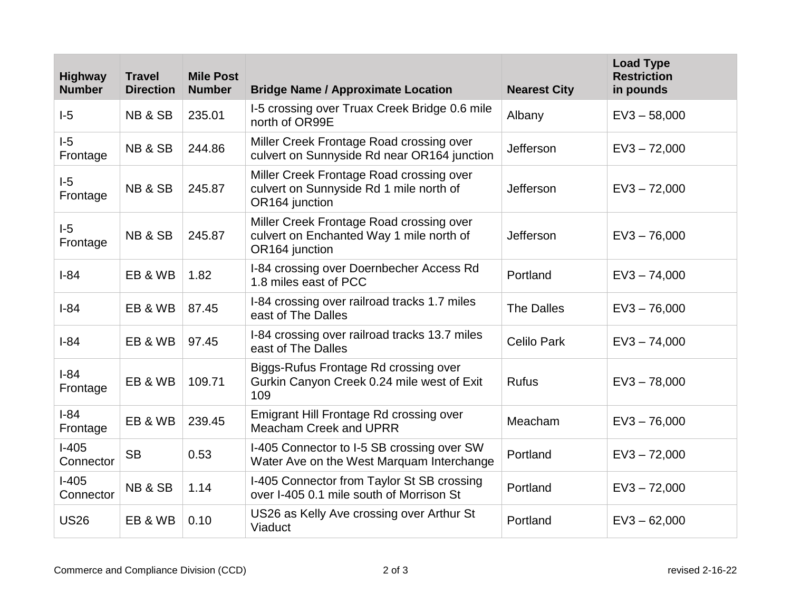| <b>Highway</b><br><b>Number</b> | <b>Travel</b><br><b>Direction</b> | <b>Mile Post</b><br><b>Number</b> | <b>Bridge Name / Approximate Location</b>                                                              | <b>Nearest City</b> | <b>Load Type</b><br><b>Restriction</b><br>in pounds |
|---------------------------------|-----------------------------------|-----------------------------------|--------------------------------------------------------------------------------------------------------|---------------------|-----------------------------------------------------|
| $I-5$                           | NB & SB                           | 235.01                            | I-5 crossing over Truax Creek Bridge 0.6 mile<br>north of OR99E                                        | Albany              | $EV3 - 58,000$                                      |
| $I-5$<br>Frontage               | NB & SB                           | 244.86                            | Miller Creek Frontage Road crossing over<br>culvert on Sunnyside Rd near OR164 junction                | Jefferson           | $EV3 - 72,000$                                      |
| $I-5$<br>Frontage               | NB & SB                           | 245.87                            | Miller Creek Frontage Road crossing over<br>culvert on Sunnyside Rd 1 mile north of<br>OR164 junction  | Jefferson           | $EV3 - 72,000$                                      |
| $I-5$<br>Frontage               | NB & SB                           | 245.87                            | Miller Creek Frontage Road crossing over<br>culvert on Enchanted Way 1 mile north of<br>OR164 junction | Jefferson           | $EV3 - 76,000$                                      |
| $I-84$                          | EB & WB                           | 1.82                              | I-84 crossing over Doernbecher Access Rd<br>1.8 miles east of PCC                                      | Portland            | $EV3 - 74,000$                                      |
| $I-84$                          | EB & WB                           | 87.45                             | I-84 crossing over railroad tracks 1.7 miles<br>east of The Dalles                                     | The Dalles          | $EV3 - 76,000$                                      |
| $I-84$                          | EB & WB                           | 97.45                             | I-84 crossing over railroad tracks 13.7 miles<br>east of The Dalles                                    | <b>Celilo Park</b>  | $EV3 - 74,000$                                      |
| $I-84$<br>Frontage              | EB & WB                           | 109.71                            | Biggs-Rufus Frontage Rd crossing over<br>Gurkin Canyon Creek 0.24 mile west of Exit<br>109             | <b>Rufus</b>        | $EV3 - 78,000$                                      |
| $I-84$<br>Frontage              | EB & WB                           | 239.45                            | Emigrant Hill Frontage Rd crossing over<br>Meacham Creek and UPRR                                      | Meacham             | $EV3 - 76,000$                                      |
| $I-405$<br>Connector            | <b>SB</b>                         | 0.53                              | I-405 Connector to I-5 SB crossing over SW<br>Water Ave on the West Marquam Interchange                | Portland            | $EV3 - 72,000$                                      |
| $I-405$<br>Connector            | NB & SB                           | 1.14                              | I-405 Connector from Taylor St SB crossing<br>over I-405 0.1 mile south of Morrison St                 | Portland            | $EV3 - 72,000$                                      |
| <b>US26</b>                     | EB & WB                           | 0.10                              | US26 as Kelly Ave crossing over Arthur St<br><b>Viaduct</b>                                            | Portland            | $EV3 - 62,000$                                      |